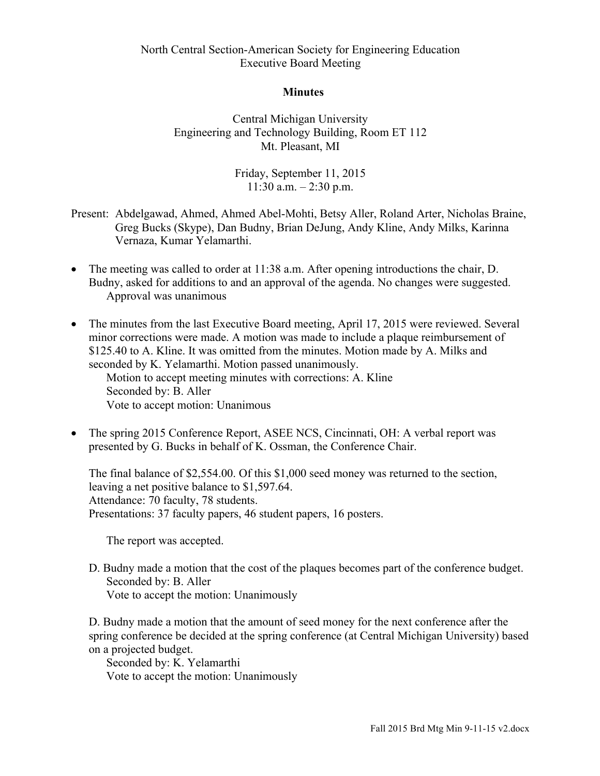## North Central Section-American Society for Engineering Education Executive Board Meeting

## **Minutes**

Central Michigan University Engineering and Technology Building, Room ET 112 Mt. Pleasant, MI

> Friday, September 11, 2015  $11:30$  a.m.  $-2:30$  p.m.

- Present: Abdelgawad, Ahmed, Ahmed Abel-Mohti, Betsy Aller, Roland Arter, Nicholas Braine, Greg Bucks (Skype), Dan Budny, Brian DeJung, Andy Kline, Andy Milks, Karinna Vernaza, Kumar Yelamarthi.
- The meeting was called to order at 11:38 a.m. After opening introductions the chair, D. Budny, asked for additions to and an approval of the agenda. No changes were suggested. Approval was unanimous
- The minutes from the last Executive Board meeting, April 17, 2015 were reviewed. Several minor corrections were made. A motion was made to include a plaque reimbursement of \$125.40 to A. Kline. It was omitted from the minutes. Motion made by A. Milks and seconded by K. Yelamarthi. Motion passed unanimously.

Motion to accept meeting minutes with corrections: A. Kline Seconded by: B. Aller Vote to accept motion: Unanimous

• The spring 2015 Conference Report, ASEE NCS, Cincinnati, OH: A verbal report was presented by G. Bucks in behalf of K. Ossman, the Conference Chair.

The final balance of \$2,554.00. Of this \$1,000 seed money was returned to the section, leaving a net positive balance to \$1,597.64. Attendance: 70 faculty, 78 students. Presentations: 37 faculty papers, 46 student papers, 16 posters.

The report was accepted.

D. Budny made a motion that the cost of the plaques becomes part of the conference budget. Seconded by: B. Aller Vote to accept the motion: Unanimously

D. Budny made a motion that the amount of seed money for the next conference after the spring conference be decided at the spring conference (at Central Michigan University) based on a projected budget.

Seconded by: K. Yelamarthi Vote to accept the motion: Unanimously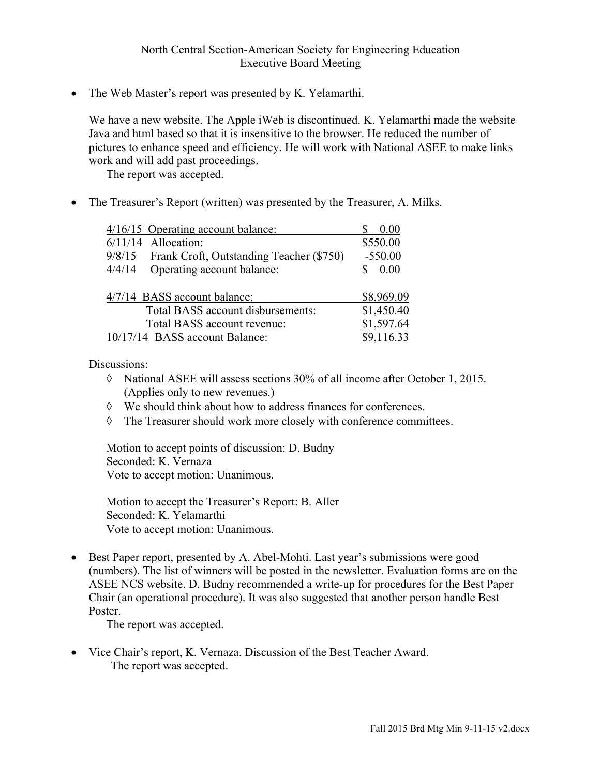## North Central Section-American Society for Engineering Education Executive Board Meeting

• The Web Master's report was presented by K. Yelamarthi.

We have a new website. The Apple iWeb is discontinued. K. Yelamarthi made the website Java and html based so that it is insensitive to the browser. He reduced the number of pictures to enhance speed and efficiency. He will work with National ASEE to make links work and will add past proceedings.

The report was accepted.

• The Treasurer's Report (written) was presented by the Treasurer, A. Milks.

|        | 4/16/15 Operating account balance:              | 0.00       |  |
|--------|-------------------------------------------------|------------|--|
|        | $6/11/14$ Allocation:                           | \$550.00   |  |
|        | 9/8/15 Frank Croft, Outstanding Teacher (\$750) | $-550.00$  |  |
| 4/4/14 | Operating account balance:                      | 0.00       |  |
|        |                                                 |            |  |
|        | 4/7/14 BASS account balance:                    | \$8,969.09 |  |
|        |                                                 |            |  |
|        | Total BASS account disbursements:               | \$1,450.40 |  |
|        | Total BASS account revenue:                     | \$1,597.64 |  |
|        | 10/17/14 BASS account Balance:                  | \$9,116.33 |  |

Discussions:

- à National ASEE will assess sections 30% of all income after October 1, 2015. (Applies only to new revenues.)
- à We should think about how to address finances for conferences.
- à The Treasurer should work more closely with conference committees.

Motion to accept points of discussion: D. Budny Seconded: K. Vernaza Vote to accept motion: Unanimous.

Motion to accept the Treasurer's Report: B. Aller Seconded: K. Yelamarthi Vote to accept motion: Unanimous.

• Best Paper report, presented by A. Abel-Mohti. Last year's submissions were good (numbers). The list of winners will be posted in the newsletter. Evaluation forms are on the ASEE NCS website. D. Budny recommended a write-up for procedures for the Best Paper Chair (an operational procedure). It was also suggested that another person handle Best Poster.

The report was accepted.

• Vice Chair's report, K. Vernaza. Discussion of the Best Teacher Award. The report was accepted.